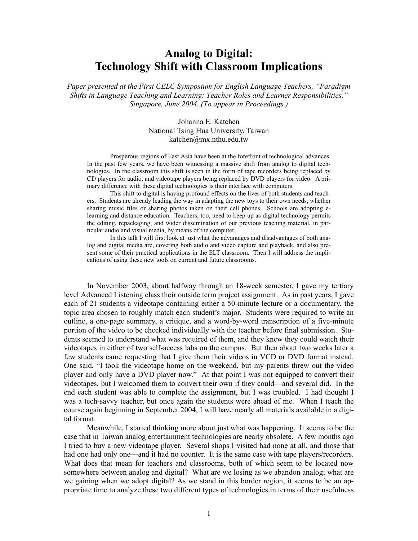# **Analog to Digital: Technology Shift with Classroom Implications**

*Paper presented at the First CELC Symposium for English Language Teachers, "Paradigm Shifts in Language Teaching and Learning: Teacher Roles and Learner Responsibilities," Singapore, June 2004. (To appear in Proceedings.)* 

> Johanna E. Katchen National Tsing Hua University, Taiwan katchen@mx.nthu.edu.tw

Prosperous regions of East Asia have been at the forefront of technological advances. In the past few years, we have been witnessing a massive shift from analog to digital technologies. In the classroom this shift is seen in the form of tape recorders being replaced by CD players for audio, and videotape players being replaced by DVD players for video. A primary difference with these digital technologies is their interface with computers.

This shift to digital is having profound effects on the lives of both students and teachers. Students are already leading the way in adapting the new toys to their own needs, whether sharing music files or sharing photos taken on their cell phones. Schools are adopting elearning and distance education. Teachers, too, need to keep up as digital technology permits the editing, repackaging, and wider dissemination of our previous teaching material, in particular audio and visual media, by means of the computer.

In this talk I will first look at just what the advantages and disadvantages of both analog and digital media are, covering both audio and video capture and playback, and also present some of their practical applications in the ELT classroom. Then I will address the implications of using these new tools on current and future classrooms.

In November 2003, about halfway through an 18-week semester, I gave my tertiary level Advanced Listening class their outside term project assignment. As in past years, I gave each of 21 students a videotape containing either a 50-minute lecture or a documentary, the topic area chosen to roughly match each student's major. Students were required to write an outline, a one-page summary, a critique, and a word-by-word transcription of a five-minute portion of the video to be checked individually with the teacher before final submission. Students seemed to understand what was required of them, and they knew they could watch their videotapes in either of two self-access labs on the campus. But then about two weeks later a few students came requesting that I give them their videos in VCD or DVD format instead. One said, "I took the videotape home on the weekend, but my parents threw out the video player and only have a DVD player now." At that point I was not equipped to convert their videotapes, but I welcomed them to convert their own if they could—and several did. In the end each student was able to complete the assignment, but I was troubled. I had thought I was a tech-savvy teacher, but once again the students were ahead of me. When I teach the course again beginning in September 2004, I will have nearly all materials available in a digital format.

Meanwhile, I started thinking more about just what was happening. It seems to be the case that in Taiwan analog entertainment technologies are nearly obsolete. A few months ago I tried to buy a new videotape player. Several shops I visited had none at all, and those that had one had only one—and it had no counter. It is the same case with tape players/recorders. What does that mean for teachers and classrooms, both of which seem to be located now somewhere between analog and digital? What are we losing as we abandon analog; what are we gaining when we adopt digital? As we stand in this border region, it seems to be an appropriate time to analyze these two different types of technologies in terms of their usefulness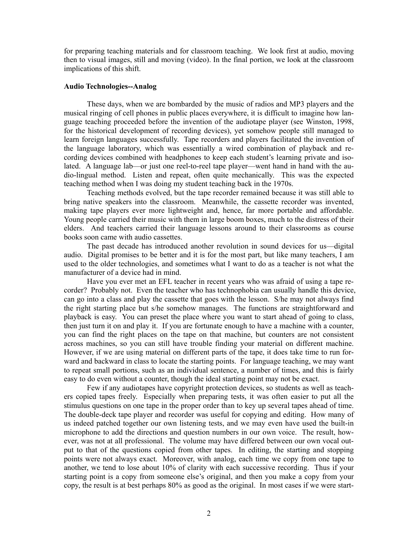for preparing teaching materials and for classroom teaching. We look first at audio, moving then to visual images, still and moving (video). In the final portion, we look at the classroom implications of this shift.

### **Audio Technologies--Analog**

These days, when we are bombarded by the music of radios and MP3 players and the musical ringing of cell phones in public places everywhere, it is difficult to imagine how language teaching proceeded before the invention of the audiotape player (see Winston, 1998, for the historical development of recording devices), yet somehow people still managed to learn foreign languages successfully. Tape recorders and players facilitated the invention of the language laboratory, which was essentially a wired combination of playback and recording devices combined with headphones to keep each student's learning private and isolated. A language lab—or just one reel-to-reel tape player—went hand in hand with the audio-lingual method. Listen and repeat, often quite mechanically. This was the expected teaching method when I was doing my student teaching back in the 1970s.

Teaching methods evolved, but the tape recorder remained because it was still able to bring native speakers into the classroom. Meanwhile, the cassette recorder was invented, making tape players ever more lightweight and, hence, far more portable and affordable. Young people carried their music with them in large boom boxes, much to the distress of their elders. And teachers carried their language lessons around to their classrooms as course books soon came with audio cassettes.

The past decade has introduced another revolution in sound devices for us—digital audio. Digital promises to be better and it is for the most part, but like many teachers, I am used to the older technologies, and sometimes what I want to do as a teacher is not what the manufacturer of a device had in mind.

Have you ever met an EFL teacher in recent years who was afraid of using a tape recorder? Probably not. Even the teacher who has technophobia can usually handle this device, can go into a class and play the cassette that goes with the lesson. S/he may not always find the right starting place but s/he somehow manages. The functions are straightforward and playback is easy. You can preset the place where you want to start ahead of going to class, then just turn it on and play it. If you are fortunate enough to have a machine with a counter, you can find the right places on the tape on that machine, but counters are not consistent across machines, so you can still have trouble finding your material on different machine. However, if we are using material on different parts of the tape, it does take time to run forward and backward in class to locate the starting points. For language teaching, we may want to repeat small portions, such as an individual sentence, a number of times, and this is fairly easy to do even without a counter, though the ideal starting point may not be exact.

Few if any audiotapes have copyright protection devices, so students as well as teachers copied tapes freely. Especially when preparing tests, it was often easier to put all the stimulus questions on one tape in the proper order than to key up several tapes ahead of time. The double-deck tape player and recorder was useful for copying and editing. How many of us indeed patched together our own listening tests, and we may even have used the built-in microphone to add the directions and question numbers in our own voice. The result, however, was not at all professional. The volume may have differed between our own vocal output to that of the questions copied from other tapes. In editing, the starting and stopping points were not always exact. Moreover, with analog, each time we copy from one tape to another, we tend to lose about 10% of clarity with each successive recording. Thus if your starting point is a copy from someone else's original, and then you make a copy from your copy, the result is at best perhaps 80% as good as the original. In most cases if we were start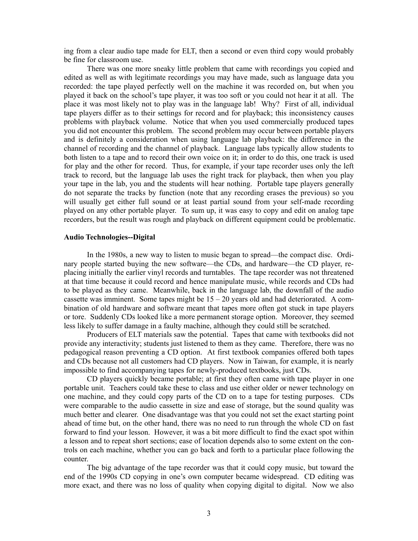ing from a clear audio tape made for ELT, then a second or even third copy would probably be fine for classroom use.

There was one more sneaky little problem that came with recordings you copied and edited as well as with legitimate recordings you may have made, such as language data you recorded: the tape played perfectly well on the machine it was recorded on, but when you played it back on the school's tape player, it was too soft or you could not hear it at all. The place it was most likely not to play was in the language lab! Why? First of all, individual tape players differ as to their settings for record and for playback; this inconsistency causes problems with playback volume. Notice that when you used commercially produced tapes you did not encounter this problem. The second problem may occur between portable players and is definitely a consideration when using language lab playback: the difference in the channel of recording and the channel of playback. Language labs typically allow students to both listen to a tape and to record their own voice on it; in order to do this, one track is used for play and the other for record. Thus, for example, if your tape recorder uses only the left track to record, but the language lab uses the right track for playback, then when you play your tape in the lab, you and the students will hear nothing. Portable tape players generally do not separate the tracks by function (note that any recording erases the previous) so you will usually get either full sound or at least partial sound from your self-made recording played on any other portable player. To sum up, it was easy to copy and edit on analog tape recorders, but the result was rough and playback on different equipment could be problematic.

## **Audio Technologies--Digital**

 In the 1980s, a new way to listen to music began to spread—the compact disc. Ordinary people started buying the new software—the CDs, and hardware—the CD player, replacing initially the earlier vinyl records and turntables. The tape recorder was not threatened at that time because it could record and hence manipulate music, while records and CDs had to be played as they came. Meanwhile, back in the language lab, the downfall of the audio cassette was imminent. Some tapes might be  $15 - 20$  years old and had deteriorated. A combination of old hardware and software meant that tapes more often got stuck in tape players or tore. Suddenly CDs looked like a more permanent storage option. Moreover, they seemed less likely to suffer damage in a faulty machine, although they could still be scratched.

 Producers of ELT materials saw the potential. Tapes that came with textbooks did not provide any interactivity; students just listened to them as they came. Therefore, there was no pedagogical reason preventing a CD option. At first textbook companies offered both tapes and CDs because not all customers had CD players. Now in Taiwan, for example, it is nearly impossible to find accompanying tapes for newly-produced textbooks, just CDs.

 CD players quickly became portable; at first they often came with tape player in one portable unit. Teachers could take these to class and use either older or newer technology on one machine, and they could copy parts of the CD on to a tape for testing purposes. CDs were comparable to the audio cassette in size and ease of storage, but the sound quality was much better and clearer. One disadvantage was that you could not set the exact starting point ahead of time but, on the other hand, there was no need to run through the whole CD on fast forward to find your lesson. However, it was a bit more difficult to find the exact spot within a lesson and to repeat short sections; ease of location depends also to some extent on the controls on each machine, whether you can go back and forth to a particular place following the counter.

 The big advantage of the tape recorder was that it could copy music, but toward the end of the 1990s CD copying in one's own computer became widespread. CD editing was more exact, and there was no loss of quality when copying digital to digital. Now we also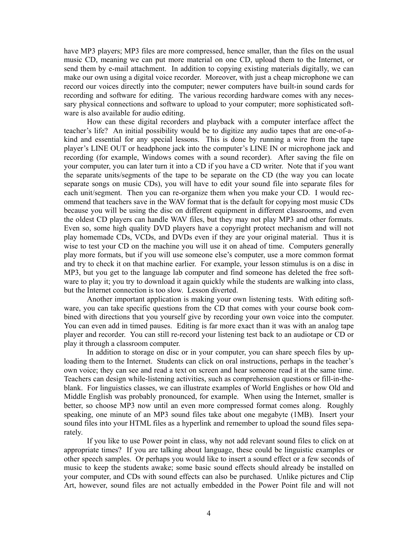have MP3 players; MP3 files are more compressed, hence smaller, than the files on the usual music CD, meaning we can put more material on one CD, upload them to the Internet, or send them by e-mail attachment. In addition to copying existing materials digitally, we can make our own using a digital voice recorder. Moreover, with just a cheap microphone we can record our voices directly into the computer; newer computers have built-in sound cards for recording and software for editing. The various recording hardware comes with any necessary physical connections and software to upload to your computer; more sophisticated software is also available for audio editing.

 How can these digital recorders and playback with a computer interface affect the teacher's life? An initial possibility would be to digitize any audio tapes that are one-of-akind and essential for any special lessons. This is done by running a wire from the tape player's LINE OUT or headphone jack into the computer's LINE IN or microphone jack and recording (for example, Windows comes with a sound recorder). After saving the file on your computer, you can later turn it into a CD if you have a CD writer. Note that if you want the separate units/segments of the tape to be separate on the CD (the way you can locate separate songs on music CDs), you will have to edit your sound file into separate files for each unit/segment. Then you can re-organize them when you make your CD. I would recommend that teachers save in the WAV format that is the default for copying most music CDs because you will be using the disc on different equipment in different classrooms, and even the oldest CD players can handle WAV files, but they may not play MP3 and other formats. Even so, some high quality DVD players have a copyright protect mechanism and will not play homemade CDs, VCDs, and DVDs even if they are your original material. Thus it is wise to test your CD on the machine you will use it on ahead of time. Computers generally play more formats, but if you will use someone else's computer, use a more common format and try to check it on that machine earlier. For example, your lesson stimulus is on a disc in MP3, but you get to the language lab computer and find someone has deleted the free software to play it; you try to download it again quickly while the students are walking into class, but the Internet connection is too slow. Lesson diverted.

 Another important application is making your own listening tests. With editing software, you can take specific questions from the CD that comes with your course book combined with directions that you yourself give by recording your own voice into the computer. You can even add in timed pauses. Editing is far more exact than it was with an analog tape player and recorder. You can still re-record your listening test back to an audiotape or CD or play it through a classroom computer.

 In addition to storage on disc or in your computer, you can share speech files by uploading them to the Internet. Students can click on oral instructions, perhaps in the teacher's own voice; they can see and read a text on screen and hear someone read it at the same time. Teachers can design while-listening activities, such as comprehension questions or fill-in-theblank. For linguistics classes, we can illustrate examples of World Englishes or how Old and Middle English was probably pronounced, for example. When using the Internet, smaller is better, so choose MP3 now until an even more compressed format comes along. Roughly speaking, one minute of an MP3 sound files take about one megabyte (1MB). Insert your sound files into your HTML files as a hyperlink and remember to upload the sound files separately.

 If you like to use Power point in class, why not add relevant sound files to click on at appropriate times? If you are talking about language, these could be linguistic examples or other speech samples. Or perhaps you would like to insert a sound effect or a few seconds of music to keep the students awake; some basic sound effects should already be installed on your computer, and CDs with sound effects can also be purchased. Unlike pictures and Clip Art, however, sound files are not actually embedded in the Power Point file and will not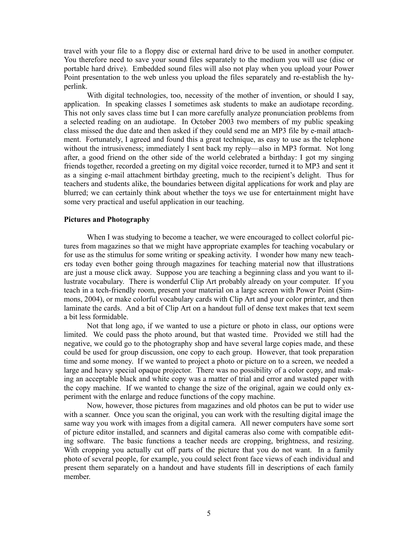travel with your file to a floppy disc or external hard drive to be used in another computer. You therefore need to save your sound files separately to the medium you will use (disc or portable hard drive). Embedded sound files will also not play when you upload your Power Point presentation to the web unless you upload the files separately and re-establish the hyperlink.

With digital technologies, too, necessity of the mother of invention, or should I say, application. In speaking classes I sometimes ask students to make an audiotape recording. This not only saves class time but I can more carefully analyze pronunciation problems from a selected reading on an audiotape. In October 2003 two members of my public speaking class missed the due date and then asked if they could send me an MP3 file by e-mail attachment. Fortunately, I agreed and found this a great technique, as easy to use as the telephone without the intrusiveness; immediately I sent back my reply—also in MP3 format. Not long after, a good friend on the other side of the world celebrated a birthday: I got my singing friends together, recorded a greeting on my digital voice recorder, turned it to MP3 and sent it as a singing e-mail attachment birthday greeting, much to the recipient's delight. Thus for teachers and students alike, the boundaries between digital applications for work and play are blurred; we can certainly think about whether the toys we use for entertainment might have some very practical and useful application in our teaching.

#### **Pictures and Photography**

When I was studying to become a teacher, we were encouraged to collect colorful pictures from magazines so that we might have appropriate examples for teaching vocabulary or for use as the stimulus for some writing or speaking activity. I wonder how many new teachers today even bother going through magazines for teaching material now that illustrations are just a mouse click away. Suppose you are teaching a beginning class and you want to illustrate vocabulary. There is wonderful Clip Art probably already on your computer. If you teach in a tech-friendly room, present your material on a large screen with Power Point (Simmons, 2004), or make colorful vocabulary cards with Clip Art and your color printer, and then laminate the cards. And a bit of Clip Art on a handout full of dense text makes that text seem a bit less formidable.

Not that long ago, if we wanted to use a picture or photo in class, our options were limited. We could pass the photo around, but that wasted time. Provided we still had the negative, we could go to the photography shop and have several large copies made, and these could be used for group discussion, one copy to each group. However, that took preparation time and some money. If we wanted to project a photo or picture on to a screen, we needed a large and heavy special opaque projector. There was no possibility of a color copy, and making an acceptable black and white copy was a matter of trial and error and wasted paper with the copy machine. If we wanted to change the size of the original, again we could only experiment with the enlarge and reduce functions of the copy machine.

Now, however, those pictures from magazines and old photos can be put to wider use with a scanner. Once you scan the original, you can work with the resulting digital image the same way you work with images from a digital camera. All newer computers have some sort of picture editor installed, and scanners and digital cameras also come with compatible editing software. The basic functions a teacher needs are cropping, brightness, and resizing. With cropping you actually cut off parts of the picture that you do not want. In a family photo of several people, for example, you could select front face views of each individual and present them separately on a handout and have students fill in descriptions of each family member.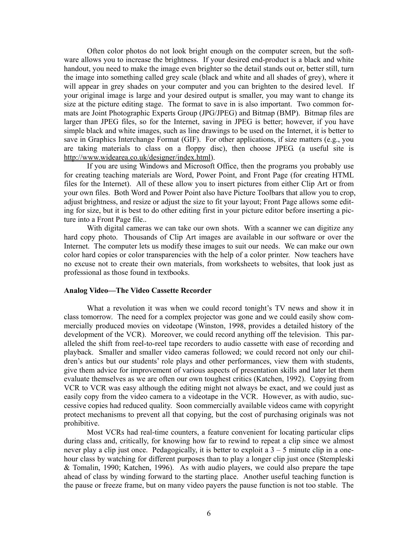Often color photos do not look bright enough on the computer screen, but the software allows you to increase the brightness. If your desired end-product is a black and white handout, you need to make the image even brighter so the detail stands out or, better still, turn the image into something called grey scale (black and white and all shades of grey), where it will appear in grey shades on your computer and you can brighten to the desired level. If your original image is large and your desired output is smaller, you may want to change its size at the picture editing stage. The format to save in is also important. Two common formats are Joint Photographic Experts Group (JPG/JPEG) and Bitmap (BMP). Bitmap files are larger than JPEG files, so for the Internet, saving in JPEG is better; however, if you have simple black and white images, such as line drawings to be used on the Internet, it is better to save in Graphics Interchange Format (GIF). For other applications, if size matters (e.g., you are taking materials to class on a floppy disc), then choose JPEG. (a useful site is http://www.widearea.co.uk/designer/index.html).

If you are using Windows and Microsoft Office, then the programs you probably use for creating teaching materials are Word, Power Point, and Front Page (for creating HTML files for the Internet). All of these allow you to insert pictures from either Clip Art or from your own files. Both Word and Power Point also have Picture Toolbars that allow you to crop, adjust brightness, and resize or adjust the size to fit your layout; Front Page allows some editing for size, but it is best to do other editing first in your picture editor before inserting a picture into a Front Page file..

With digital cameras we can take our own shots. With a scanner we can digitize any hard copy photo. Thousands of Clip Art images are available in our software or over the Internet. The computer lets us modify these images to suit our needs. We can make our own color hard copies or color transparencies with the help of a color printer. Now teachers have no excuse not to create their own materials, from worksheets to websites, that look just as professional as those found in textbooks.

#### **Analog Video—The Video Cassette Recorder**

What a revolution it was when we could record tonight's TV news and show it in class tomorrow. The need for a complex projector was gone and we could easily show commercially produced movies on videotape (Winston, 1998, provides a detailed history of the development of the VCR). Moreover, we could record anything off the television. This paralleled the shift from reel-to-reel tape recorders to audio cassette with ease of recording and playback. Smaller and smaller video cameras followed; we could record not only our children's antics but our students' role plays and other performances, view them with students, give them advice for improvement of various aspects of presentation skills and later let them evaluate themselves as we are often our own toughest critics (Katchen, 1992). Copying from VCR to VCR was easy although the editing might not always be exact, and we could just as easily copy from the video camera to a videotape in the VCR. However, as with audio, successive copies had reduced quality. Soon commercially available videos came with copyright protect mechanisms to prevent all that copying, but the cost of purchasing originals was not prohibitive.

Most VCRs had real-time counters, a feature convenient for locating particular clips during class and, critically, for knowing how far to rewind to repeat a clip since we almost never play a clip just once. Pedagogically, it is better to exploit a 3 – 5 minute clip in a onehour class by watching for different purposes than to play a longer clip just once (Stempleski & Tomalin, 1990; Katchen, 1996). As with audio players, we could also prepare the tape ahead of class by winding forward to the starting place. Another useful teaching function is the pause or freeze frame, but on many video payers the pause function is not too stable. The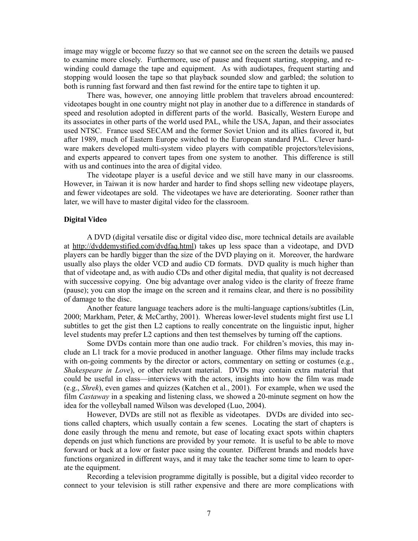image may wiggle or become fuzzy so that we cannot see on the screen the details we paused to examine more closely. Furthermore, use of pause and frequent starting, stopping, and rewinding could damage the tape and equipment. As with audiotapes, frequent starting and stopping would loosen the tape so that playback sounded slow and garbled; the solution to both is running fast forward and then fast rewind for the entire tape to tighten it up.

There was, however, one annoying little problem that travelers abroad encountered: videotapes bought in one country might not play in another due to a difference in standards of speed and resolution adopted in different parts of the world. Basically, Western Europe and its associates in other parts of the world used PAL, while the USA, Japan, and their associates used NTSC. France used SECAM and the former Soviet Union and its allies favored it, but after 1989, much of Eastern Europe switched to the European standard PAL. Clever hardware makers developed multi-system video players with compatible projectors/televisions, and experts appeared to convert tapes from one system to another. This difference is still with us and continues into the area of digital video.

The videotape player is a useful device and we still have many in our classrooms. However, in Taiwan it is now harder and harder to find shops selling new videotape players, and fewer videotapes are sold. The videotapes we have are deteriorating. Sooner rather than later, we will have to master digital video for the classroom.

#### **Digital Video**

A DVD (digital versatile disc or digital video disc, more technical details are available at http://dvddemystified.com/dvdfaq.html) takes up less space than a videotape, and DVD players can be hardly bigger than the size of the DVD playing on it. Moreover, the hardware usually also plays the older VCD and audio CD formats. DVD quality is much higher than that of videotape and, as with audio CDs and other digital media, that quality is not decreased with successive copying. One big advantage over analog video is the clarity of freeze frame (pause); you can stop the image on the screen and it remains clear, and there is no possibility of damage to the disc.

Another feature language teachers adore is the multi-language captions/subtitles (Lin, 2000; Markham, Peter, & McCarthy, 2001). Whereas lower-level students might first use L1 subtitles to get the gist then L2 captions to really concentrate on the linguistic input, higher level students may prefer L2 captions and then test themselves by turning off the captions.

Some DVDs contain more than one audio track. For children's movies, this may include an L1 track for a movie produced in another language. Other films may include tracks with on-going comments by the director or actors, commentary on setting or costumes (e.g., *Shakespeare in Love*), or other relevant material. DVDs may contain extra material that could be useful in class—interviews with the actors, insights into how the film was made (e.g., *Shrek*), even games and quizzes (Katchen et al., 2001). For example, when we used the film *Castaway* in a speaking and listening class, we showed a 20-minute segment on how the idea for the volleyball named Wilson was developed (Luo, 2004).

However, DVDs are still not as flexible as videotapes. DVDs are divided into sections called chapters, which usually contain a few scenes. Locating the start of chapters is done easily through the menu and remote, but ease of locating exact spots within chapters depends on just which functions are provided by your remote. It is useful to be able to move forward or back at a low or faster pace using the counter. Different brands and models have functions organized in different ways, and it may take the teacher some time to learn to operate the equipment.

Recording a television programme digitally is possible, but a digital video recorder to connect to your television is still rather expensive and there are more complications with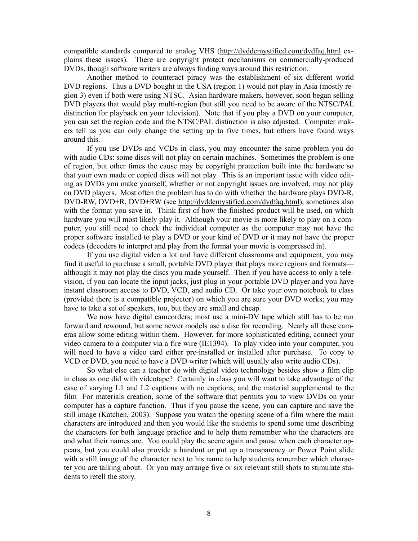compatible standards compared to analog VHS (http://dvddemystified.com/dvdfaq.html explains these issues). There are copyright protect mechanisms on commercially-produced DVDs, though software writers are always finding ways around this restriction.

Another method to counteract piracy was the establishment of six different world DVD regions. Thus a DVD bought in the USA (region 1) would not play in Asia (mostly region 3) even if both were using NTSC. Asian hardware makers, however, soon began selling DVD players that would play multi-region (but still you need to be aware of the NTSC/PAL distinction for playback on your television). Note that if you play a DVD on your computer, you can set the region code and the NTSC/PAL distinction is also adjusted. Computer makers tell us you can only change the setting up to five times, but others have found ways around this.

If you use DVDs and VCDs in class, you may encounter the same problem you do with audio CDs: some discs will not play on certain machines. Sometimes the problem is one of region, but other times the cause may be copyright protection built into the hardware so that your own made or copied discs will not play. This is an important issue with video editing as DVDs you make yourself, whether or not copyright issues are involved, may not play on DVD players. Most often the problem has to do with whether the hardware plays DVD-R, DVD-RW, DVD+R, DVD+RW (see http://dvddemystified.com/dvdfaq.html), sometimes also with the format you save in. Think first of how the finished product will be used, on which hardware you will most likely play it. Although your movie is more likely to play on a computer, you still need to check the individual computer as the computer may not have the proper software installed to play a DVD or your kind of DVD or it may not have the proper codecs (decoders to interpret and play from the format your movie is compressed in).

If you use digital video a lot and have different classrooms and equipment, you may find it useful to purchase a small, portable DVD player that plays more regions and formats although it may not play the discs you made yourself. Then if you have access to only a television, if you can locate the input jacks, just plug in your portable DVD player and you have instant classroom access to DVD, VCD, and audio CD. Or take your own notebook to class (provided there is a compatible projector) on which you are sure your DVD works; you may have to take a set of speakers, too, but they are small and cheap.

We now have digital camcorders; most use a mini-DV tape which still has to be run forward and rewound, but some newer models use a disc for recording. Nearly all these cameras allow some editing within them. However, for more sophisticated editing, connect your video camera to a computer via a fire wire (IE1394). To play video into your computer, you will need to have a video card either pre-installed or installed after purchase. To copy to VCD or DVD, you need to have a DVD writer (which will usually also write audio CDs).

So what else can a teacher do with digital video technology besides show a film clip in class as one did with videotape? Certainly in class you will want to take advantage of the ease of varying L1 and L2 captions with no captions, and the material supplemental to the film For materials creation, some of the software that permits you to view DVDs on your computer has a capture function. Thus if you pause the scene, you can capture and save the still image (Katchen, 2003). Suppose you watch the opening scene of a film where the main characters are introduced and then you would like the students to spend some time describing the characters for both language practice and to help them remember who the characters are and what their names are. You could play the scene again and pause when each character appears, but you could also provide a handout or put up a transparency or Power Point slide with a still image of the character next to his name to help students remember which character you are talking about. Or you may arrange five or six relevant still shots to stimulate students to retell the story.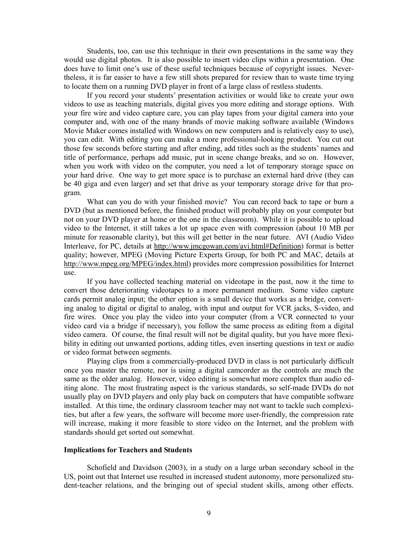Students, too, can use this technique in their own presentations in the same way they would use digital photos. It is also possible to insert video clips within a presentation. One does have to limit one's use of these useful techniques because of copyright issues. Nevertheless, it is far easier to have a few still shots prepared for review than to waste time trying to locate them on a running DVD player in front of a large class of restless students.

If you record your students' presentation activities or would like to create your own videos to use as teaching materials, digital gives you more editing and storage options. With your fire wire and video capture care, you can play tapes from your digital camera into your computer and, with one of the many brands of movie making software available (Windows Movie Maker comes installed with Windows on new computers and is relatively easy to use), you can edit. With editing you can make a more professional-looking product. You cut out those few seconds before starting and after ending, add titles such as the students' names and title of performance, perhaps add music, put in scene change breaks, and so on. However, when you work with video on the computer, you need a lot of temporary storage space on your hard drive. One way to get more space is to purchase an external hard drive (they can be 40 giga and even larger) and set that drive as your temporary storage drive for that program.

What can you do with your finished movie? You can record back to tape or burn a DVD (but as mentioned before, the finished product will probably play on your computer but not on your DVD player at home or the one in the classroom). While it is possible to upload video to the Internet, it still takes a lot up space even with compression (about 10 MB per minute for reasonable clarity), but this will get better in the near future. AVI (Audio Video Interleave, for PC, details at http://www.jmcgowan.com/avi.html#Definition) format is better quality; however, MPEG (Moving Picture Experts Group, for both PC and MAC, details at http://www.mpeg.org/MPEG/index.html) provides more compression possibilities for Internet use.

 If you have collected teaching material on videotape in the past, now it the time to convert those deteriorating videotapes to a more permanent medium. Some video capture cards permit analog input; the other option is a small device that works as a bridge, converting analog to digital or digital to analog, with input and output for VCR jacks, S-video, and fire wires. Once you play the video into your computer (from a VCR connected to your video card via a bridge if necessary), you follow the same process as editing from a digital video camera. Of course, the final result will not be digital quality, but you have more flexibility in editing out unwanted portions, adding titles, even inserting questions in text or audio or video format between segments.

 Playing clips from a commercially-produced DVD in class is not particularly difficult once you master the remote, nor is using a digital camcorder as the controls are much the same as the older analog. However, video editing is somewhat more complex than audio editing alone. The most frustrating aspect is the various standards, so self-made DVDs do not usually play on DVD players and only play back on computers that have compatible software installed. At this time, the ordinary classroom teacher may not want to tackle such complexities, but after a few years, the software will become more user-friendly, the compression rate will increase, making it more feasible to store video on the Internet, and the problem with standards should get sorted out somewhat.

#### **Implications for Teachers and Students**

 Schofield and Davidson (2003), in a study on a large urban secondary school in the US, point out that Internet use resulted in increased student autonomy, more personalized student-teacher relations, and the bringing out of special student skills, among other effects.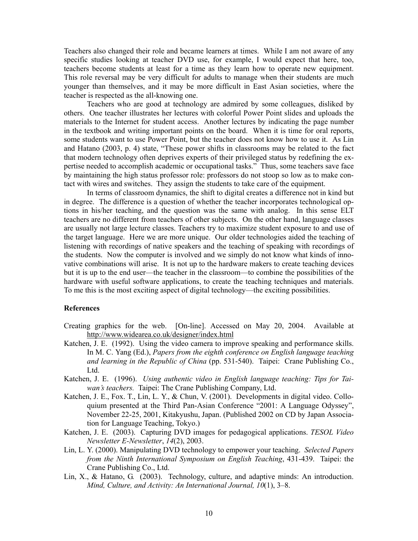Teachers also changed their role and became learners at times. While I am not aware of any specific studies looking at teacher DVD use, for example, I would expect that here, too, teachers become students at least for a time as they learn how to operate new equipment. This role reversal may be very difficult for adults to manage when their students are much younger than themselves, and it may be more difficult in East Asian societies, where the teacher is respected as the all-knowing one.

 Teachers who are good at technology are admired by some colleagues, disliked by others. One teacher illustrates her lectures with colorful Power Point slides and uploads the materials to the Internet for student access. Another lectures by indicating the page number in the textbook and writing important points on the board. When it is time for oral reports, some students want to use Power Point, but the teacher does not know how to use it. As Lin and Hatano (2003, p. 4) state, "These power shifts in classrooms may be related to the fact that modern technology often deprives experts of their privileged status by redefining the expertise needed to accomplish academic or occupational tasks." Thus, some teachers save face by maintaining the high status professor role: professors do not stoop so low as to make contact with wires and switches. They assign the students to take care of the equipment.

 In terms of classroom dynamics, the shift to digital creates a difference not in kind but in degree. The difference is a question of whether the teacher incorporates technological options in his/her teaching, and the question was the same with analog. In this sense ELT teachers are no different from teachers of other subjects. On the other hand, language classes are usually not large lecture classes. Teachers try to maximize student exposure to and use of the target language. Here we are more unique. Our older technologies aided the teaching of listening with recordings of native speakers and the teaching of speaking with recordings of the students. Now the computer is involved and we simply do not know what kinds of innovative combinations will arise. It is not up to the hardware makers to create teaching devices but it is up to the end user—the teacher in the classroom—to combine the possibilities of the hardware with useful software applications, to create the teaching techniques and materials. To me this is the most exciting aspect of digital technology—the exciting possibilities.

# **References**

- Creating graphics for the web. [On-line]. Accessed on May 20, 2004. Available at http://www.widearea.co.uk/designer/index.html
- Katchen, J. E. (1992). Using the video camera to improve speaking and performance skills. In M. C. Yang (Ed.), *Papers from the eighth conference on English language teaching and learning in the Republic of China* (pp. 531-540). Taipei: Crane Publishing Co., Ltd.
- Katchen, J. E. (1996). *Using authentic video in English language teaching: Tips for Taiwan's teachers.* Taipei: The Crane Publishing Company, Ltd.
- Katchen, J. E., Fox. T., Lin, L. Y., & Chun, V. (2001). Developments in digital video. Colloquium presented at the Third Pan-Asian Conference "2001: A Language Odyssey", November 22-25, 2001, Kitakyushu, Japan. (Published 2002 on CD by Japan Association for Language Teaching, Tokyo.)
- Katchen, J. E. (2003). Capturing DVD images for pedagogical applications. *TESOL Video Newsletter E-Newsletter*, *14*(2), 2003.
- Lin, L. Y. (2000). Manipulating DVD technology to empower your teaching. *Selected Papers from the Ninth International Symposium on English Teaching*, 431-439. Taipei: the Crane Publishing Co., Ltd.
- Lin, X., & Hatano, G. (2003). Technology, culture, and adaptive minds: An introduction. *Mind, Culture, and Activity: An International Journal, 10*(1), 3–8.